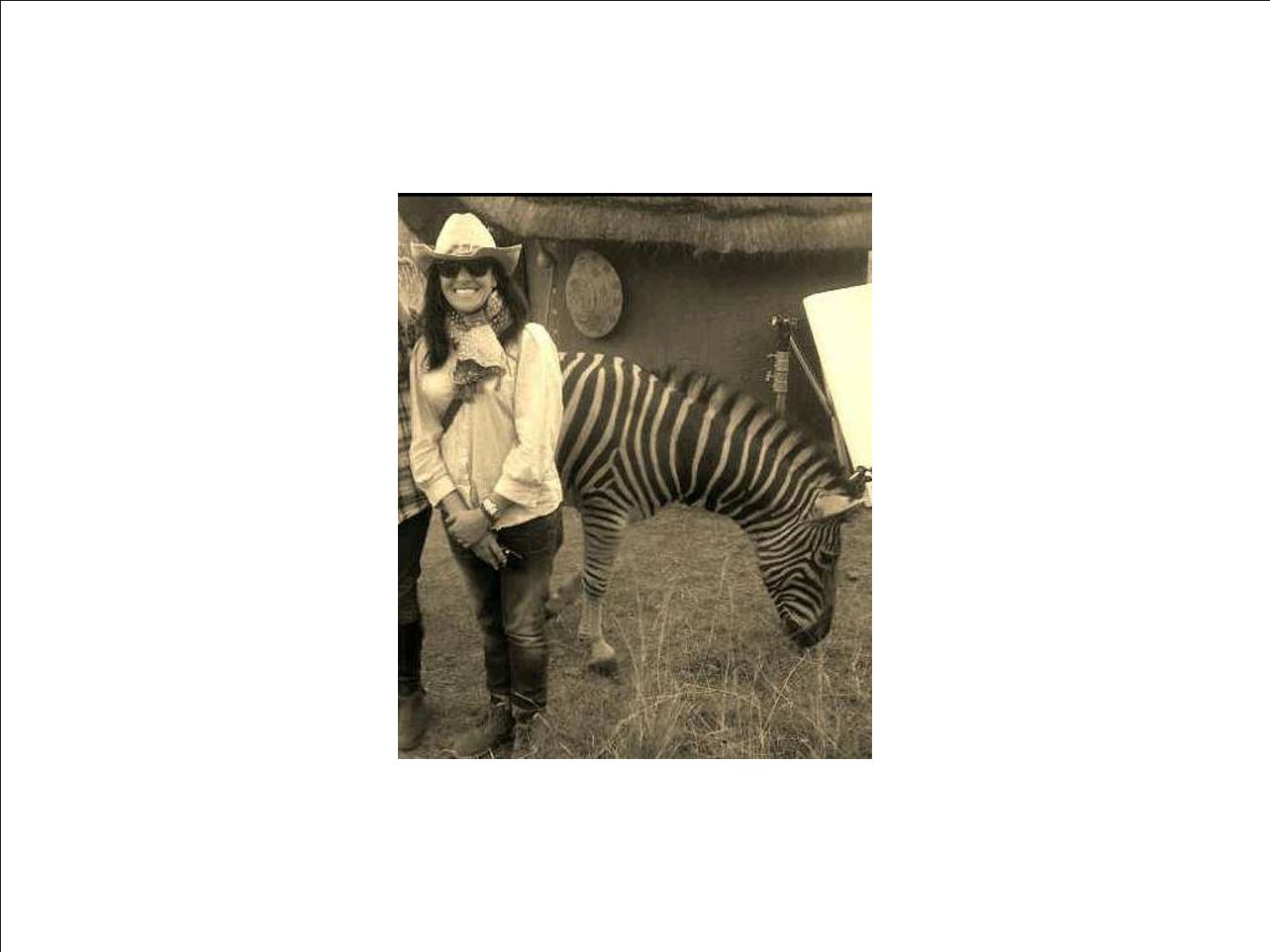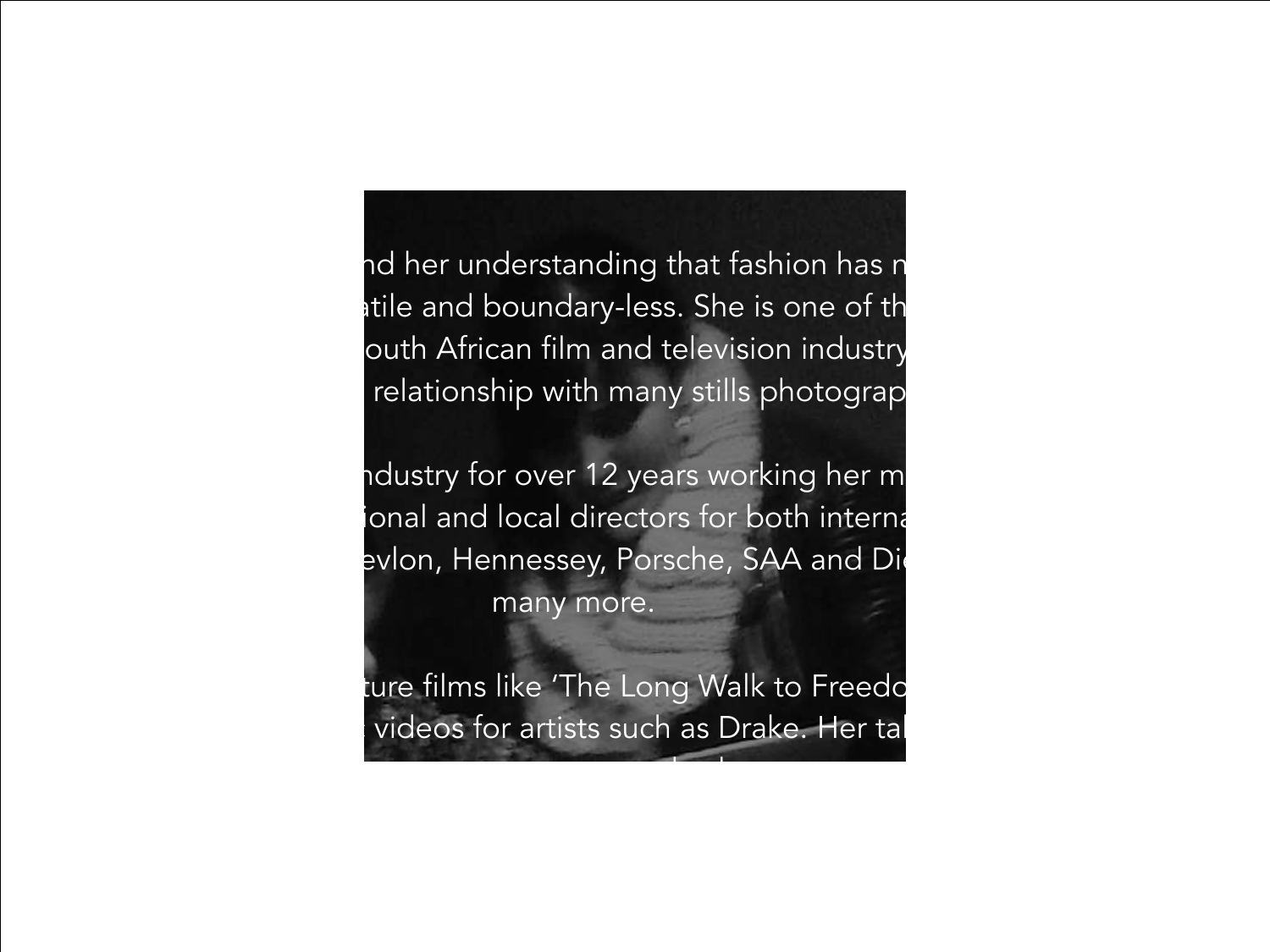nd her understanding that fashion has n atile and boundary-less. She is one of th outh African film and television industry relationship with many stills photograp

ndustry for over 12 years working her m ional and local directors for both interna evlon, Hennessey, Porsche, SAA and Die many more.

ture films like 'The Long Walk to Freedo videos for artists such as Drake. Her tal

energy are unmatched.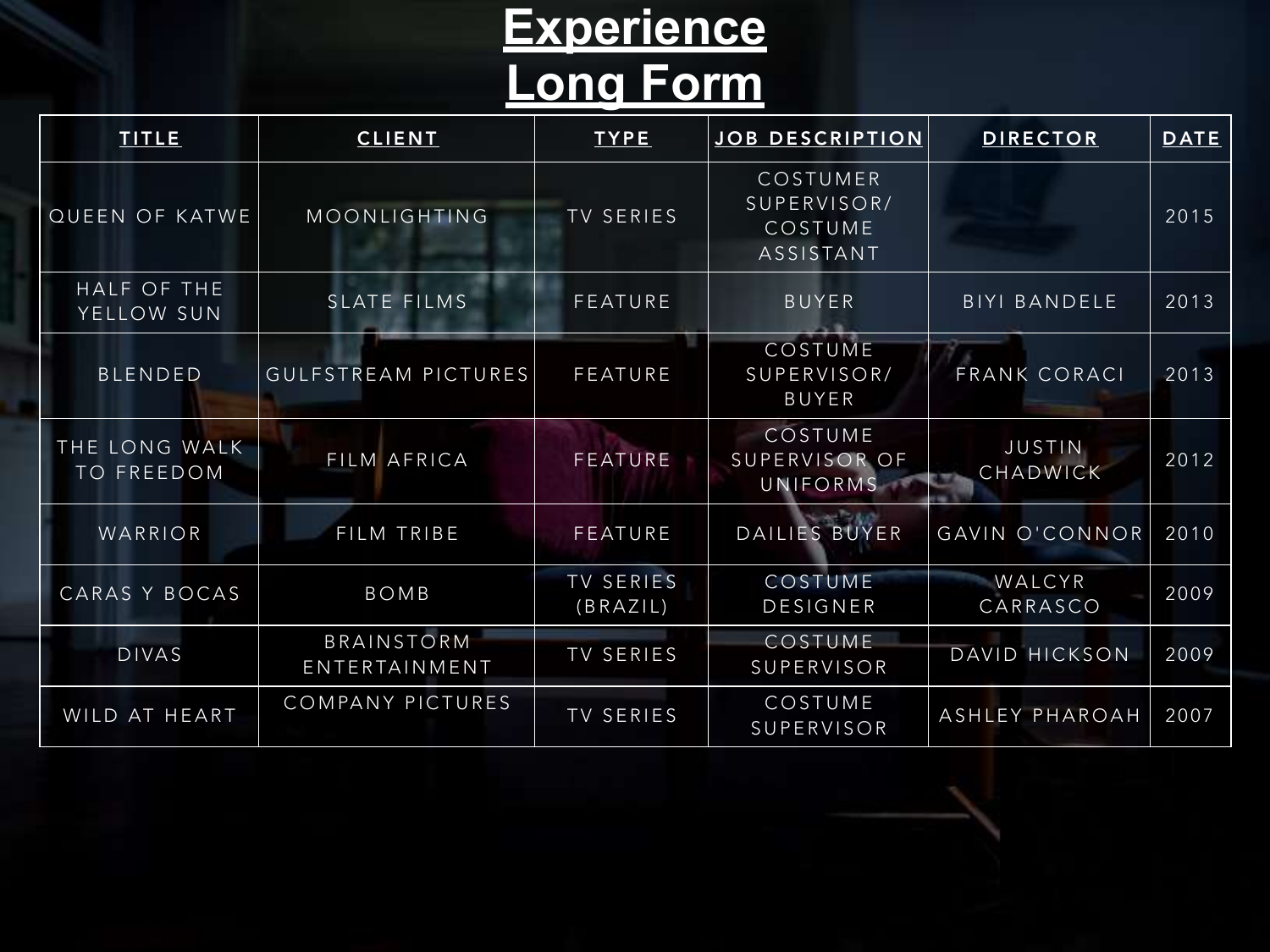# **Experience**

#### **Long Form**

| <b>TITLE</b>                | <b>CLIENT</b>                      | <b>TYPE</b>           | JOB DESCRIPTION                                 | <b>DIRECTOR</b>           | <b>DATE</b> |
|-----------------------------|------------------------------------|-----------------------|-------------------------------------------------|---------------------------|-------------|
| QUEEN OF KATWE              | MOONLIGHTING                       | TV SERIES             | COSTUMER<br>SUPERVISOR/<br>COSTUME<br>ASSISTANT |                           | 2015        |
| HALF OF THE<br>YELLOW SUN   | <b>SLATE FILMS</b>                 | <b>FEATURE</b>        | <b>BUYER</b>                                    | <b>BIYI BANDELE</b>       | 2013        |
| <b>BLENDED</b>              | GULFSTREAM PICTURES                | <b>FEATURE</b>        | COSTUME<br>SUPERVISOR/<br><b>BUYER</b>          | FRANK CORACI              | 2013        |
| THE LONG WALK<br>TO FREEDOM | FILM AFRICA                        | FEATURE               | COSTUME<br>SUPERVISOR OF<br>UNIFORMS            | <b>JUSTIN</b><br>CHADWICK | 2012        |
| WARRIOR                     | FILM TRIBE                         | FEATURE               | DAILIES BUYER                                   | GAVIN O'CONNOR            | 2010        |
| CARAS Y BOCAS               | BOMB                               | TV SERIES<br>(BRAZIL) | COSTUME<br>DESIGNER                             | WALCYR<br>CARRASCO        | 2009        |
| <b>DIVAS</b>                | <b>BRAINSTORM</b><br>ENTERTAINMENT | TV SERIES             | COSTUME<br>SUPERVISOR                           | DAVID HICKSON             | 2009        |
| WILD AT HEART               | COMPANY PICTURES                   | TV SERIES             | COSTUME<br>SUPERVISOR                           | ASHLEY PHAROAH            | 2007        |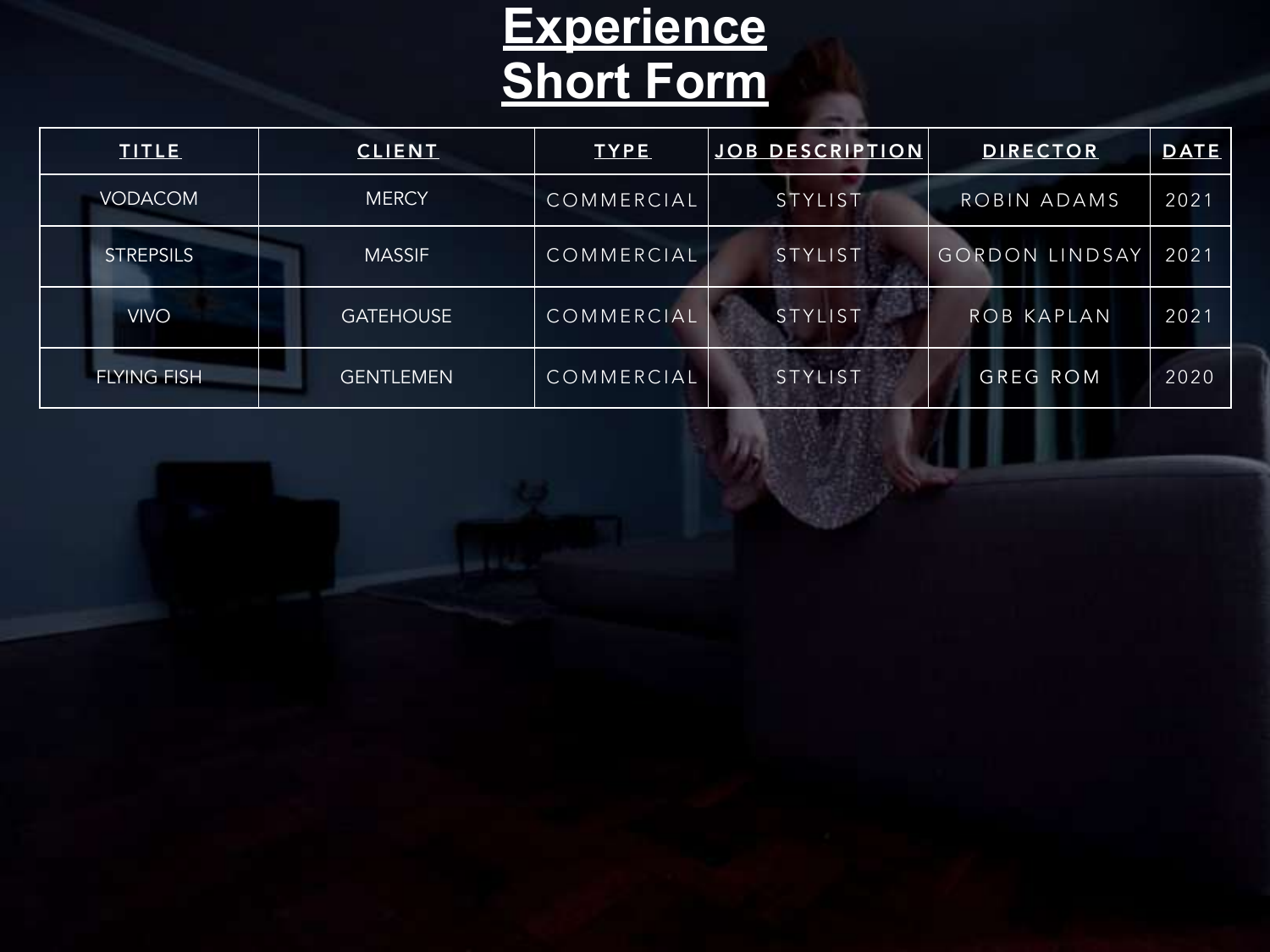| <b>TITLE</b>       | <b>CLIENT</b>    | <b>TYPE</b> | JOB DESCRIPTION | <b>DIRECTOR</b>       | <b>DATE</b> |
|--------------------|------------------|-------------|-----------------|-----------------------|-------------|
| <b>VODACOM</b>     | <b>MERCY</b>     | COMMERCIAL  | STYLIST         | ROBIN ADAMS           | 2021        |
| <b>STREPSILS</b>   | <b>MASSIF</b>    | COMMERCIAL  | STYLIST         | <b>GORDON LINDSAY</b> | 2021        |
| <b>VIVO</b>        | <b>GATEHOUSE</b> | COMMERCIAL  | STYLIST         | ROB KAPLAN            | 2021        |
| <b>FLYING FISH</b> | <b>GENTLEMEN</b> | COMMERCIAL  | STYLIST         | <b>GREG ROM</b>       | 2020        |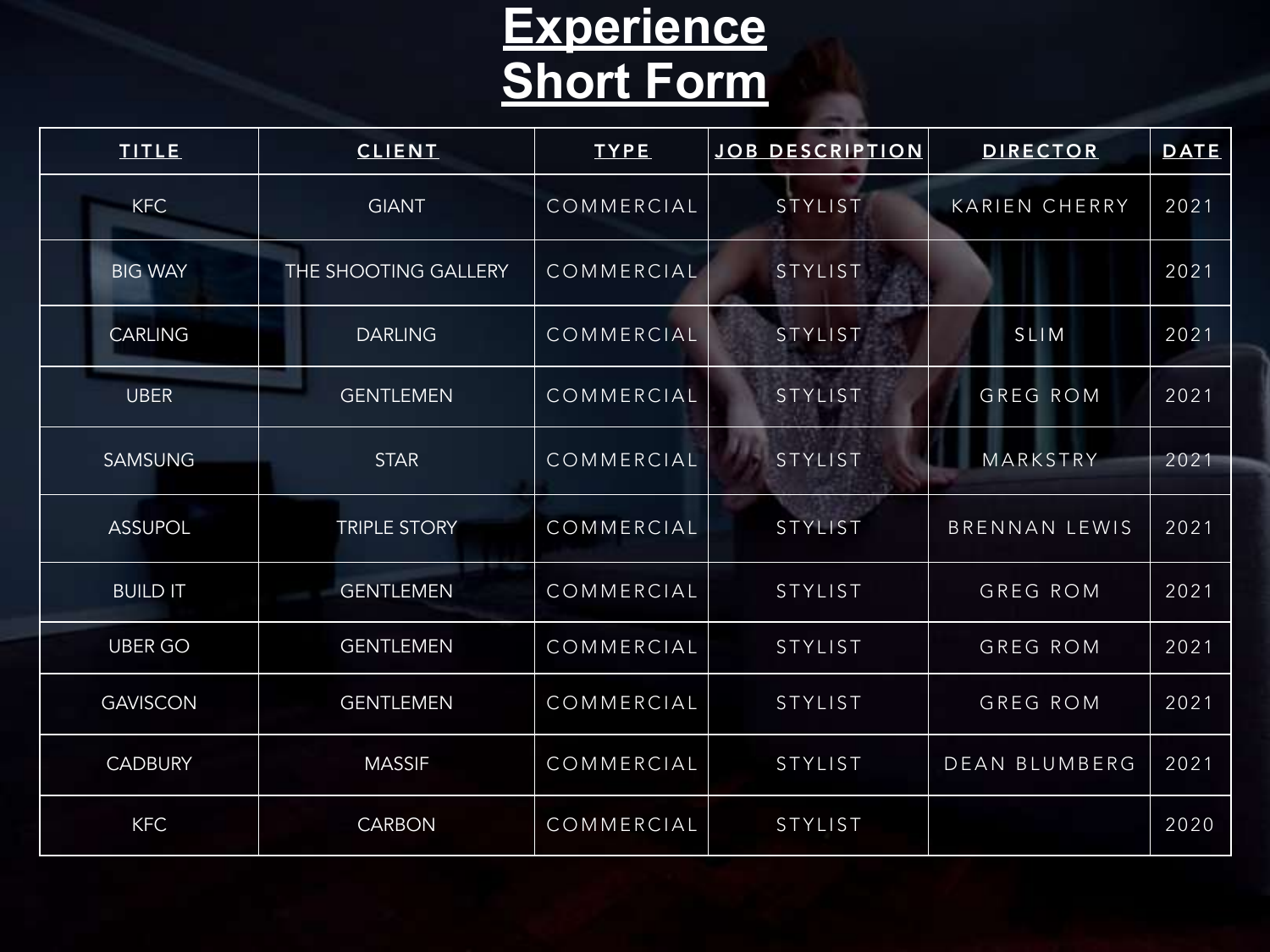| <b>TITLE</b>    | <b>CLIENT</b>        | <b>TYPE</b> | <b>JOB DESCRIPTION</b> | <b>DIRECTOR</b> | <b>DATE</b> |
|-----------------|----------------------|-------------|------------------------|-----------------|-------------|
| <b>KFC</b>      | <b>GIANT</b>         | COMMERCIAL  | STYLIST                | KARIEN CHERRY   | 2021        |
| <b>BIG WAY</b>  | THE SHOOTING GALLERY | COMMERCIAL  | STYLIST                |                 | 2021        |
| <b>CARLING</b>  | <b>DARLING</b>       | COMMERCIAL  | <b>STYLIST</b>         | <b>SLIM</b>     | 2021        |
| <b>UBER</b>     | <b>GENTLEMEN</b>     | COMMERCIAL  | STYLIST                | GREG ROM        | 2021        |
| <b>SAMSUNG</b>  | <b>STAR</b>          | COMMERCIAL  | STYLIST                | MARKSTRY        | 2021        |
| <b>ASSUPOL</b>  | <b>TRIPLE STORY</b>  | COMMERCIAL  | <b>STYLIST</b>         | BRENNAN LEWIS   | 2021        |
| <b>BUILD IT</b> | <b>GENTLEMEN</b>     | COMMERCIAL  | <b>STYLIST</b>         | GREG ROM        | 2021        |
| <b>UBER GO</b>  | <b>GENTLEMEN</b>     | COMMERCIAL  | <b>STYLIST</b>         | GREG ROM        | 2021        |
| <b>GAVISCON</b> | <b>GENTLEMEN</b>     | COMMERCIAL  | <b>STYLIST</b>         | GREG ROM        | 2021        |
| <b>CADBURY</b>  | <b>MASSIF</b>        | COMMERCIAL  | <b>STYLIST</b>         | DEAN BLUMBERG   | 2021        |
| <b>KFC</b>      | <b>CARBON</b>        | COMMERCIAL  | STYLIST                |                 | 2020        |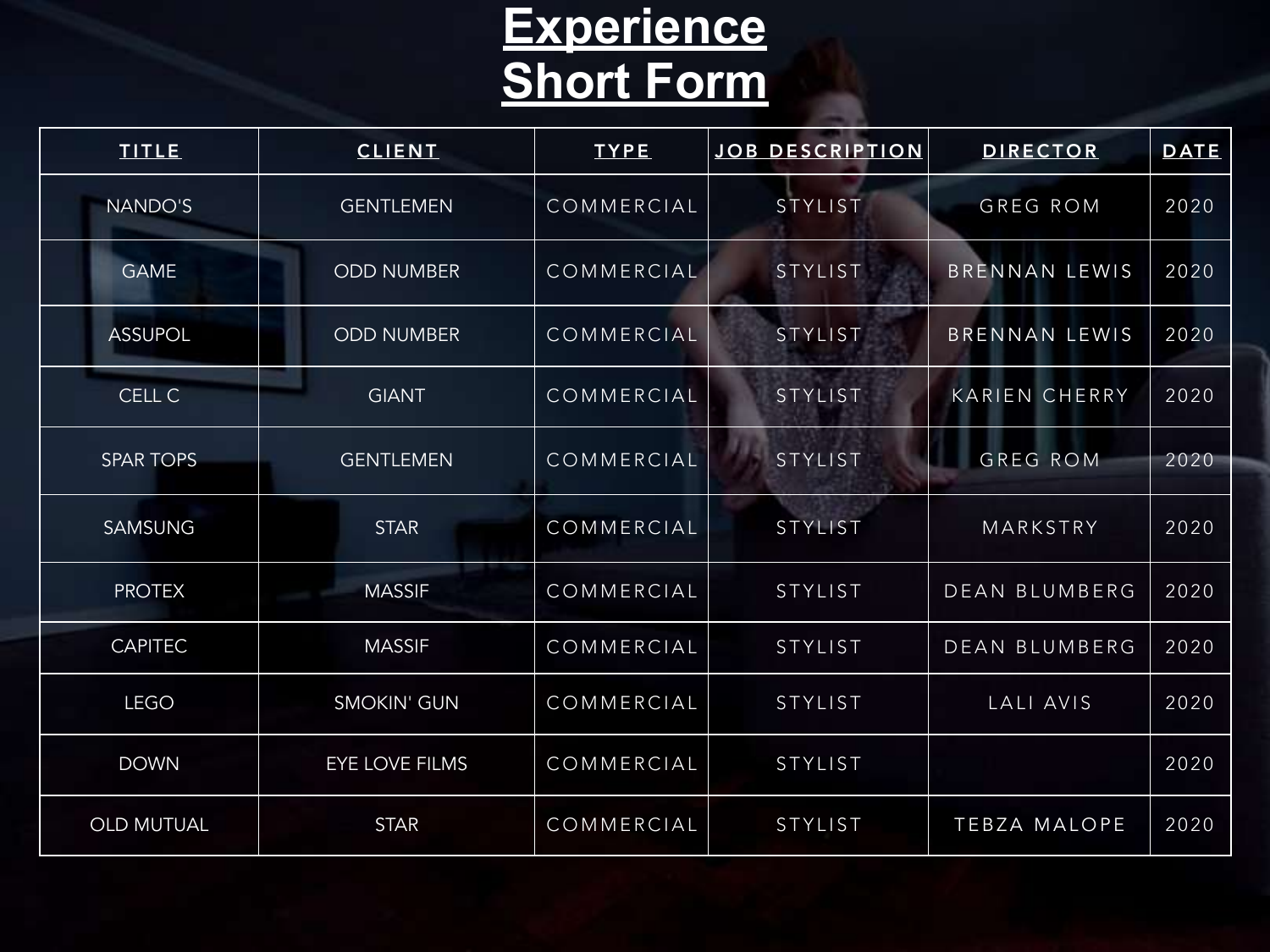| <b>TITLE</b>      | <b>CLIENT</b>      | <b>TYPE</b> | JOB DESCRIPTION | <b>DIRECTOR</b>      | <b>DATE</b> |
|-------------------|--------------------|-------------|-----------------|----------------------|-------------|
| NANDO'S           | <b>GENTLEMEN</b>   | COMMERCIAL  | <b>STYLIST</b>  | GREG ROM             | 2020        |
| <b>GAME</b>       | <b>ODD NUMBER</b>  | COMMERCIAL  | STYLIST         | BRENNAN LEWIS        | 2020        |
| <b>ASSUPOL</b>    | <b>ODD NUMBER</b>  | COMMERCIAL  | <b>STYLIST</b>  | BRENNAN LEWIS        | 2020        |
| CELL C            | <b>GIANT</b>       | COMMERCIAL  | STYLIST         | <b>KARIEN CHERRY</b> | 2020        |
| <b>SPAR TOPS</b>  | <b>GENTLEMEN</b>   | COMMERCIAL  | STYLIST         | GREG ROM             | 2020        |
| <b>SAMSUNG</b>    | <b>STAR</b>        | COMMERCIAL  | STYLIST         | MARKSTRY             | 2020        |
| <b>PROTEX</b>     | <b>MASSIF</b>      | COMMERCIAL  | <b>STYLIST</b>  | DEAN BLUMBERG        | 2020        |
| <b>CAPITEC</b>    | <b>MASSIF</b>      | COMMERCIAL  | STYLIST         | DEAN BLUMBERG        | 2020        |
| <b>LEGO</b>       | <b>SMOKIN' GUN</b> | COMMERCIAL  | STYLIST         | LALI AVIS            | 2020        |
| <b>DOWN</b>       | EYE LOVE FILMS     | COMMERCIAL  | STYLIST         |                      | 2020        |
| <b>OLD MUTUAL</b> | <b>STAR</b>        | COMMERCIAL  | STYLIST         | TEBZA MALOPE         | 2020        |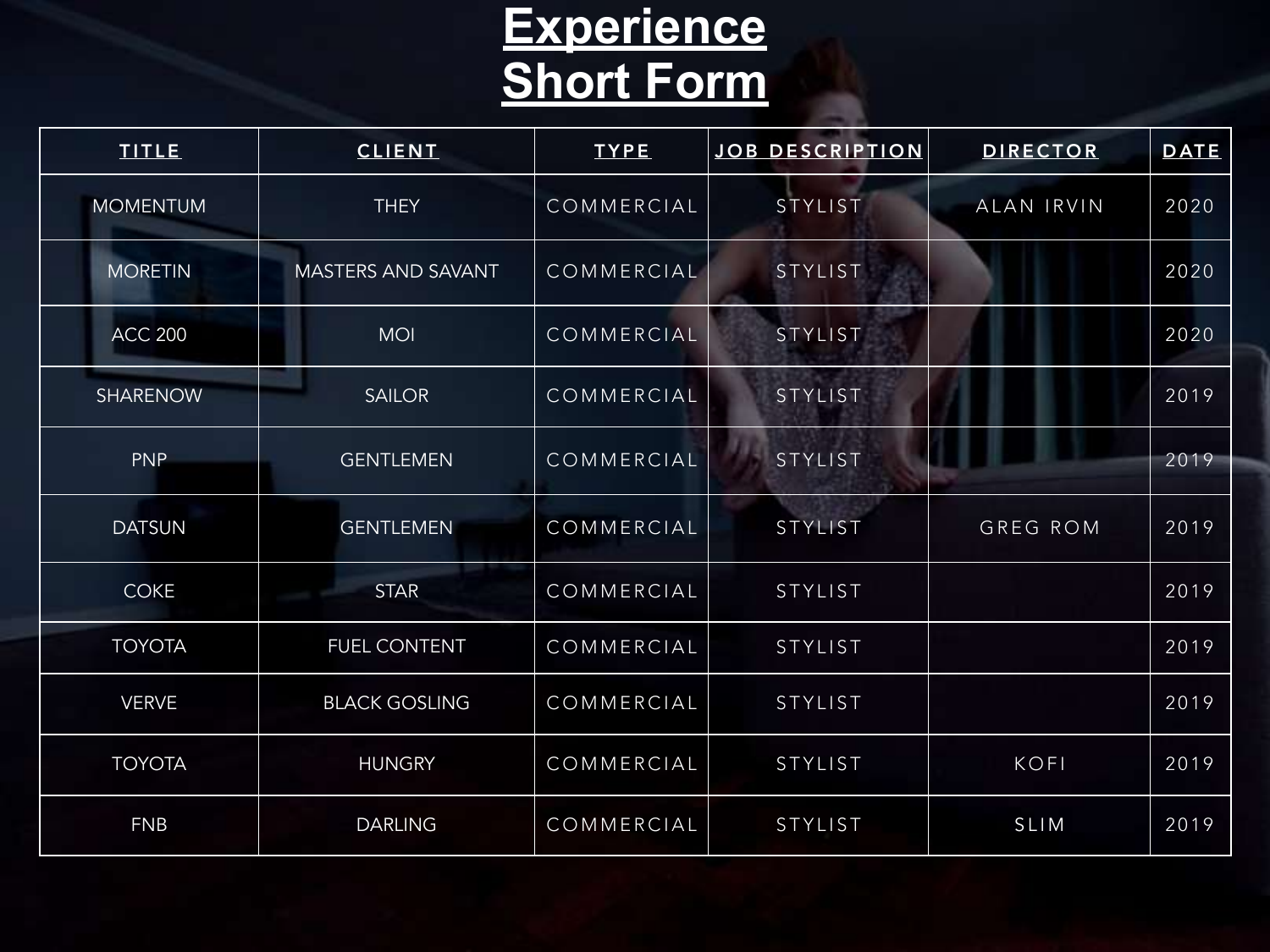| <b>TITLE</b>    | <b>CLIENT</b>             | <b>TYPE</b> | JOB DESCRIPTION | <b>DIRECTOR</b> | <b>DATE</b> |
|-----------------|---------------------------|-------------|-----------------|-----------------|-------------|
| <b>MOMENTUM</b> | <b>THEY</b>               | COMMERCIAL  | STYLIST         | ALAN IRVIN      | 2020        |
| <b>MORETIN</b>  | <b>MASTERS AND SAVANT</b> | COMMERCIAL  | <b>STYLIST</b>  |                 | 2020        |
| <b>ACC 200</b>  | <b>MOI</b>                | COMMERCIAL  | STYLIST         |                 | 2020        |
| <b>SHARENOW</b> | <b>SAILOR</b>             | COMMERCIAL  | STYLIST         |                 | 2019        |
| <b>PNP</b>      | <b>GENTLEMEN</b>          | COMMERCIAL  | STYLIST         |                 | 2019        |
| <b>DATSUN</b>   | <b>GENTLEMEN</b>          | COMMERCIAL  | STYLIST         | GREG ROM        | 2019        |
| <b>COKE</b>     | <b>STAR</b>               | COMMERCIAL  | <b>STYLIST</b>  |                 | 2019        |
| <b>TOYOTA</b>   | <b>FUEL CONTENT</b>       | COMMERCIAL  | STYLIST         |                 | 2019        |
| <b>VERVE</b>    | <b>BLACK GOSLING</b>      | COMMERCIAL  | STYLIST         |                 | 2019        |
| <b>TOYOTA</b>   | <b>HUNGRY</b>             | COMMERCIAL  | STYLIST         | KOFI            | 2019        |
| <b>FNB</b>      | <b>DARLING</b>            | COMMERCIAL  | STYLIST         | <b>SLIM</b>     | 2019        |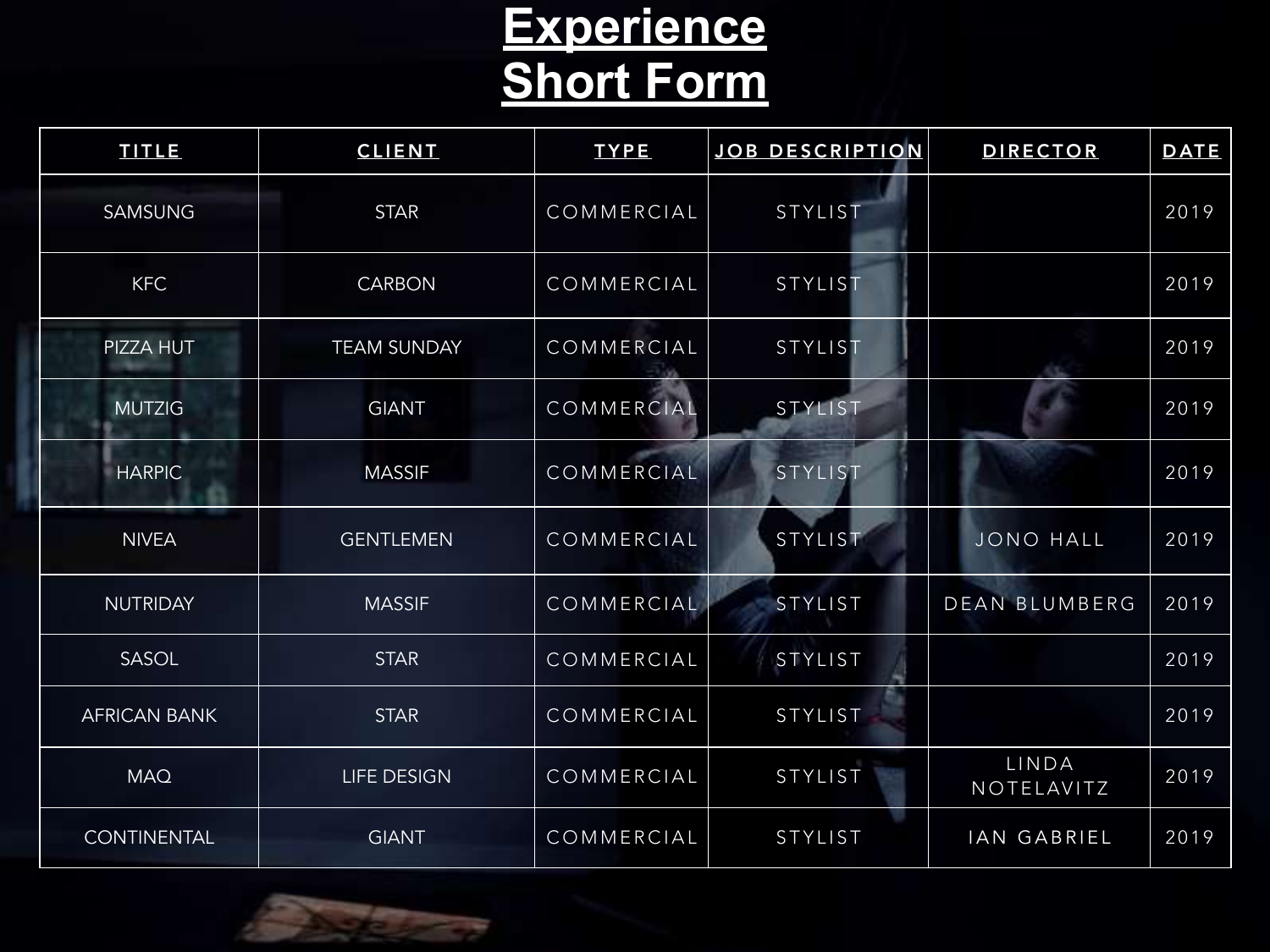| <b>TITLE</b>        | <b>CLIENT</b>      | <b>TYPE</b> | JOB DESCRIPTION | <b>DIRECTOR</b>     | <b>DATE</b> |
|---------------------|--------------------|-------------|-----------------|---------------------|-------------|
| <b>SAMSUNG</b>      | <b>STAR</b>        | COMMERCIAL  | STYLIST         |                     | 2019        |
| <b>KFC</b>          | <b>CARBON</b>      | COMMERCIAL  | <b>STYLIST</b>  |                     | 2019        |
| PIZZA HUT           | <b>TEAM SUNDAY</b> | COMMERCIAL  | <b>STYLIST</b>  |                     | 2019        |
| <b>MUTZIG</b>       | <b>GIANT</b>       | COMMERCIAL  | <b>STYLIST</b>  |                     | 2019        |
| <b>HARPIC</b>       | <b>MASSIF</b>      | COMMERCIAL  | <b>STYLIST</b>  |                     | 2019        |
| <b>NIVEA</b>        | <b>GENTLEMEN</b>   | COMMERCIAL  | STYLIST         | JONO HALL           | 2019        |
| <b>NUTRIDAY</b>     | <b>MASSIF</b>      | COMMERCIAL  | STYLIST         | DEAN BLUMBERG       | 2019        |
| <b>SASOL</b>        | <b>STAR</b>        | COMMERCIAL  | <b>STYLIST</b>  |                     | 2019        |
| <b>AFRICAN BANK</b> | <b>STAR</b>        | COMMERCIAL  | STYLIST         |                     | 2019        |
| <b>MAQ</b>          | LIFE DESIGN        | COMMERCIAL  | STYLIST         | LINDA<br>NOTELAVITZ | 2019        |
| <b>CONTINENTAL</b>  | <b>GIANT</b>       | COMMERCIAL  | STYLIST         | IAN GABRIEL         | 2019        |

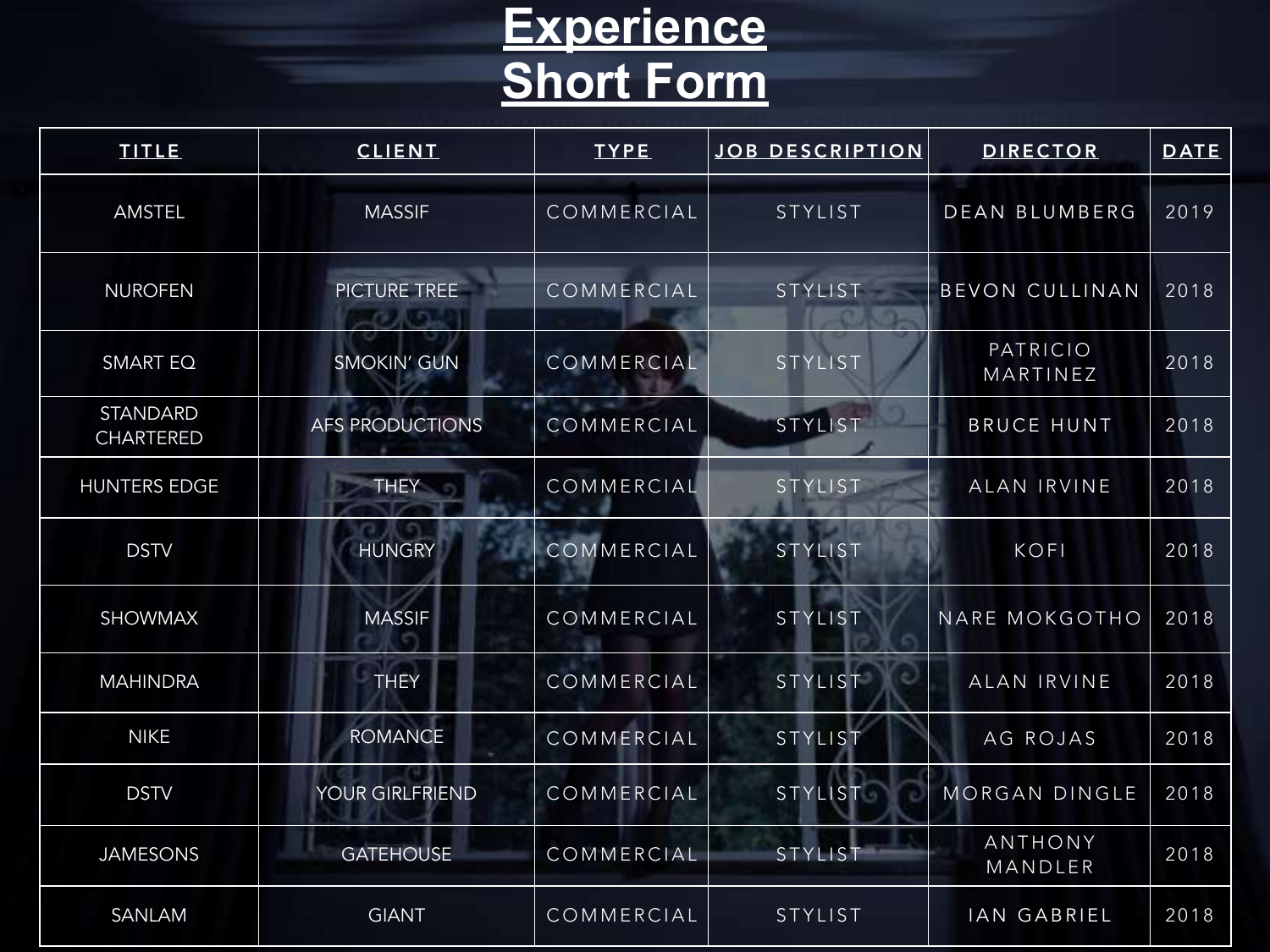| <b>TITLE</b>                        | <b>CLIENT</b>          | <b>TYPE</b> | JOB DESCRIPTION | <b>DIRECTOR</b>      | <b>DATE</b> |
|-------------------------------------|------------------------|-------------|-----------------|----------------------|-------------|
| AMSTEL                              | <b>MASSIF</b>          | COMMERCIAL  | <b>STYLIST</b>  | DEAN BLUMBERG        | 2019        |
| <b>NUROFEN</b>                      | <b>PICTURE TREE</b>    | COMMERCIAL  | <b>STYLIST</b>  | BEVON CULLINAN       | 2018        |
| <b>SMART EQ</b>                     | <b>SMOKIN' GUN</b>     | COMMERCIAL  | STYLIST         | PATRICIO<br>MARTINEZ | 2018        |
| <b>STANDARD</b><br><b>CHARTERED</b> | <b>AFS PRODUCTIONS</b> | COMMERCIAL  | STYLIST         | <b>BRUCE HUNT</b>    | 2018        |
| HUNTERS EDGE                        | <b>THEY</b>            | COMMERCIAL  | <b>STYLIST</b>  | ALAN IRVINE          | 2018        |
| <b>DSTV</b>                         | <b>HUNGRY</b>          | COMMERCIAL  | <b>STYLIST</b>  | <b>KOFI</b>          | 2018        |
| <b>SHOWMAX</b>                      | <b>MASSIF</b>          | COMMERCIAL  | STYLIST         | NARE MOKGOTHO        | 2018        |
| <b>MAHINDRA</b>                     | <b>THEY</b>            | COMMERCIAL  | STYLIST         | ALAN IRVINE          | 2018        |
| <b>NIKE</b>                         | <b>ROMANCE</b>         | COMMERCIAL  | <b>STYLIST</b>  | AG ROJAS             | 2018        |
| <b>DSTV</b>                         | YOUR GIRLFRIEND        | COMMERCIAL  | STYLIST         | MORGAN DINGLE        | 2018        |
| <b>JAMESONS</b>                     | <b>GATEHOUSE</b>       | COMMERCIAL  | STYLIST         | ANTHONY<br>MANDLER   | 2018        |
| <b>SANLAM</b>                       | <b>GIANT</b>           | COMMERCIAL  | STYLIST         | IAN GABRIEL          | 2018        |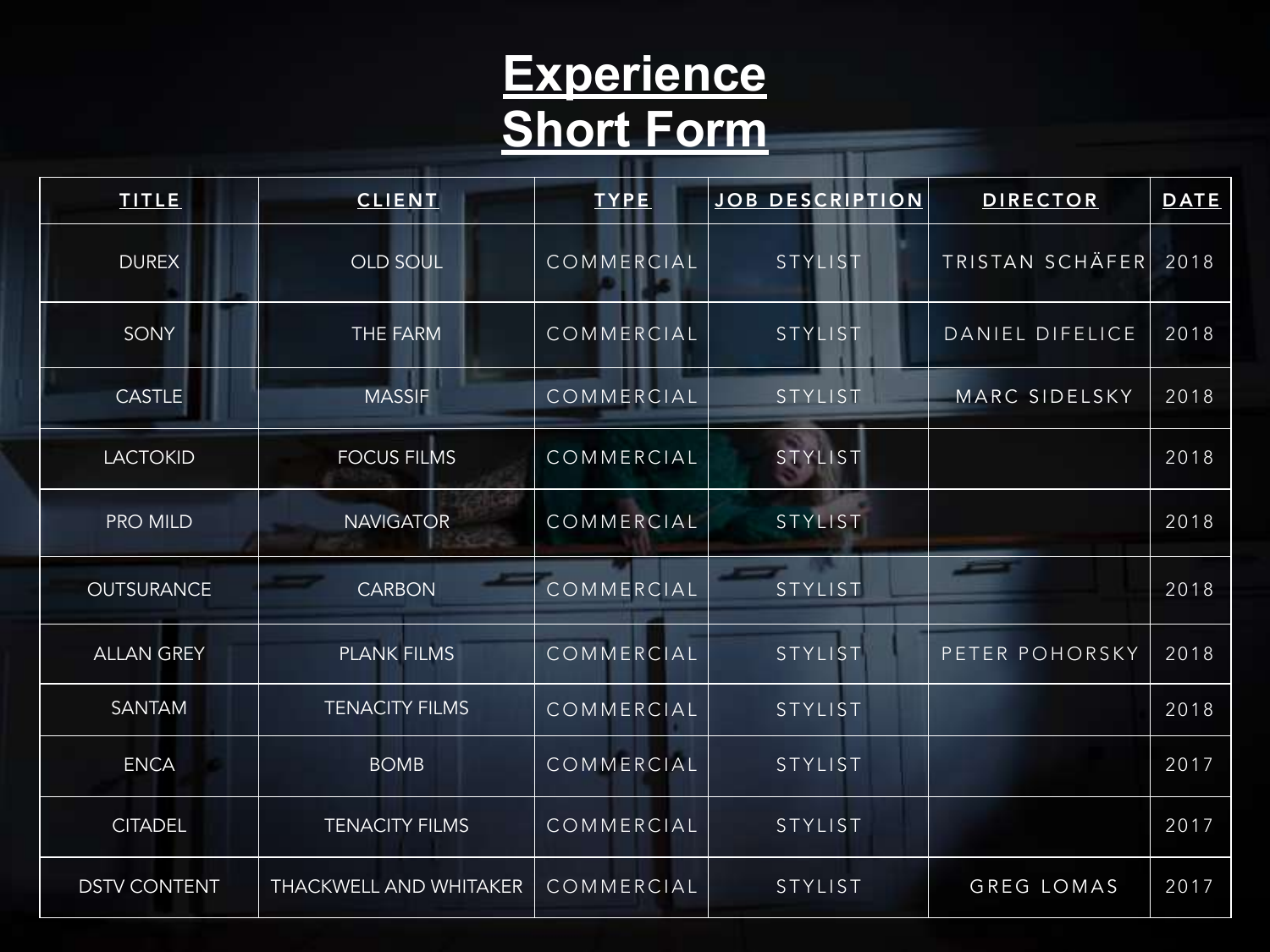| <b>TITLE</b>        | <b>CLIENT</b>          | <b>TYPE</b> | JOB DESCRIPTION | <b>DIRECTOR</b> | <b>DATE</b> |
|---------------------|------------------------|-------------|-----------------|-----------------|-------------|
| <b>DUREX</b>        | <b>OLD SOUL</b>        | COMMERCIAL  | <b>STYLIST</b>  | TRISTAN SCHÄFER | 2018        |
| SONY                | THE FARM               | COMMERCIAL  | <b>STYLIST</b>  | DANIEL DIFELICE | 2018        |
| <b>CASTLE</b>       | <b>MASSIF</b>          | COMMERCIAL  | STYLIST         | MARC SIDELSKY   | 2018        |
| <b>LACTOKID</b>     | <b>FOCUS FILMS</b>     | COMMERCIAL  | STYLIST         |                 | 2018        |
| <b>PRO MILD</b>     | <b>NAVIGATOR</b>       | COMMERCIAL  | STYLIST         |                 | 2018        |
| <b>OUTSURANCE</b>   | <b>CARBON</b>          | COMMERCIAL  | STYLIST         |                 | 2018        |
| <b>ALLAN GREY</b>   | <b>PLANK FILMS</b>     | COMMERCIAL  | <b>STYLIST</b>  | PETER POHORSKY  | 2018        |
| <b>SANTAM</b>       | <b>TENACITY FILMS</b>  | COMMERCIAL  | <b>STYLIST</b>  |                 | 2018        |
| <b>ENCA</b>         | <b>BOMB</b>            | COMMERCIAL  | <b>STYLIST</b>  |                 | 2017        |
| <b>CITADEL</b>      | <b>TENACITY FILMS</b>  | COMMERCIAL  | STYLIST         |                 | 2017        |
| <b>DSTV CONTENT</b> | THACKWELL AND WHITAKER | COMMERCIAL  | STYLIST         | GREG LOMAS      | 2017        |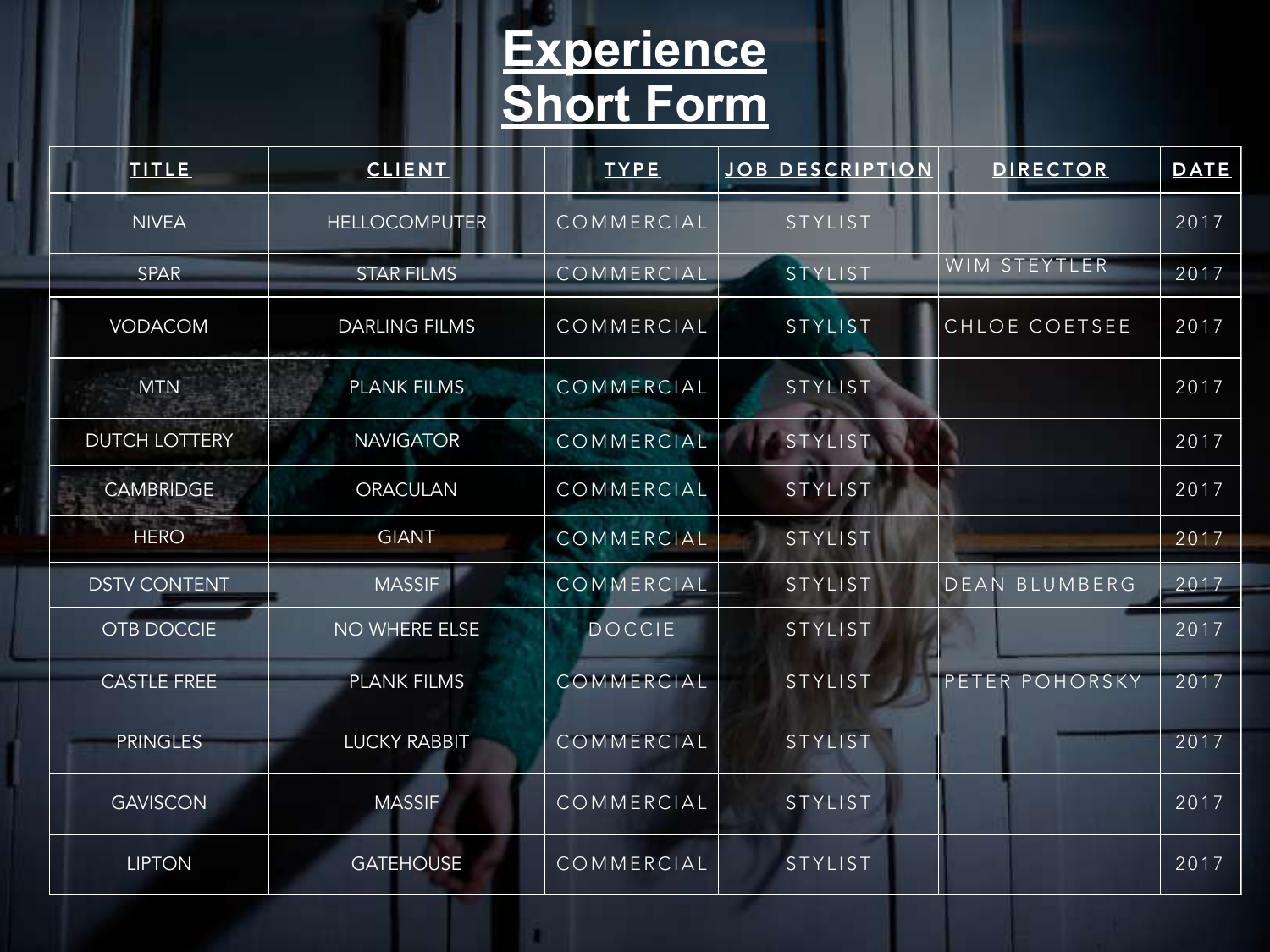| <b>TITLE</b>         | <b>CLIENT</b>        | <b>TYPE</b>   | JOB DESCRIPTION | DIRECTOR       | <b>DATE</b> |
|----------------------|----------------------|---------------|-----------------|----------------|-------------|
| <b>NIVEA</b>         | <b>HELLOCOMPUTER</b> | COMMERCIAL    | STYLIST         |                | 2017        |
| <b>SPAR</b>          | <b>STAR FILMS</b>    | COMMERCIAL    | <b>STYLIST</b>  | WIM STEYTLER   | 2017        |
| <b>VODACOM</b>       | <b>DARLING FILMS</b> | COMMERCIAL    | <b>STYLIST</b>  | CHLOE COETSEE  | 2017        |
| <b>MTN</b>           | <b>PLANK FILMS</b>   | COMMERCIAL    | STYLIST         |                | 2017        |
| <b>DUTCH LOTTERY</b> | <b>NAVIGATOR</b>     | COMMERCIAL    | STYLIST         |                | 2017        |
| <b>CAMBRIDGE</b>     | <b>ORACULAN</b>      | COMMERCIAL    | STYLIST         |                | 2017        |
| <b>HERO</b>          | <b>GIANT</b>         | COMMERCIAL    | STYLIST         |                | 2017        |
| <b>DSTV CONTENT</b>  | <b>MASSIF</b>        | COMMERCIAL    | <b>STYLIST</b>  | DEAN BLUMBERG  | 2017        |
| <b>OTB DOCCIE</b>    | NO WHERE ELSE        | <b>DOCCIE</b> | STYLIST         |                | 2017        |
| <b>CASTLE FREE</b>   | <b>PLANK FILMS</b>   | COMMERCIAL    | <b>STYLIST</b>  | PETER POHORSKY | 2017        |
| <b>PRINGLES</b>      | <b>LUCKY RABBIT</b>  | COMMERCIAL    | STYLIST         |                | 2017        |
| <b>GAVISCON</b>      | <b>MASSIF</b>        | COMMERCIAL    | STYLIST         |                | 2017        |
| <b>LIPTON</b>        | <b>GATEHOUSE</b>     | COMMERCIAL    | <b>STYLIST</b>  |                | 2017        |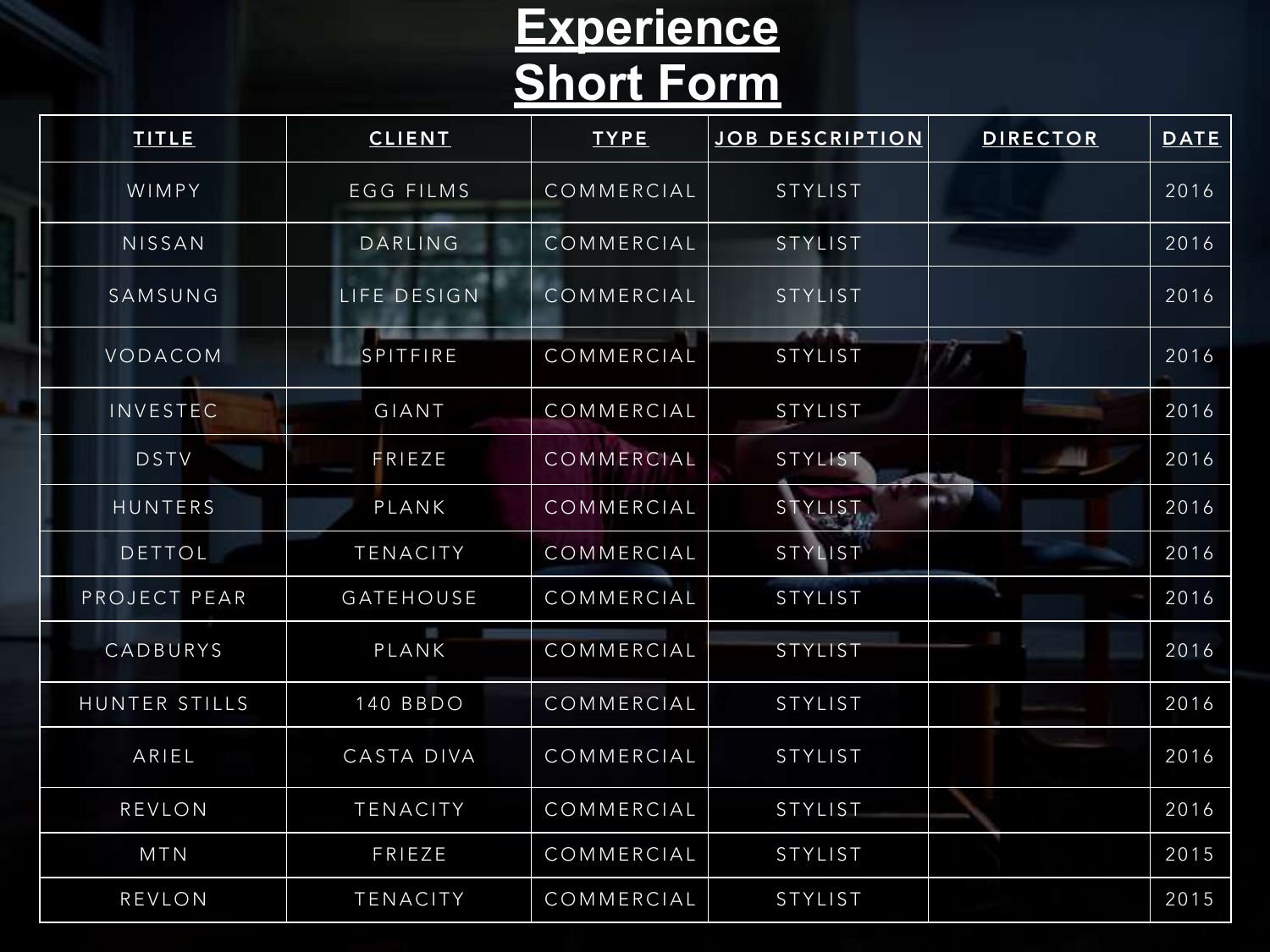| <u>TITLE</u>    | <b>CLIENT</b>   | <b>TYPE</b> | <b>JOB DESCRIPTION</b> | <b>DIRECTOR</b> | <b>DATE</b> |
|-----------------|-----------------|-------------|------------------------|-----------------|-------------|
| WIMPY           | EGG FILMS       | COMMERCIAL  | <b>STYLIST</b>         |                 | 2016        |
| NISSAN          | DARLING         | COMMERCIAL  | <b>STYLIST</b>         |                 | 2016        |
| SAMSUNG         | LIFE DESIGN     | COMMERCIAL  | <b>STYLIST</b>         |                 | 2016        |
| <b>VODACOM</b>  | SPITFIRE        | COMMERCIAL  | STYLIST                |                 | 2016        |
| <b>INVESTEC</b> | GIANT           | COMMERCIAL  | <b>STYLIST</b>         |                 | 2016        |
| <b>DSTV</b>     | FRIEZE          | COMMERCIAL  | STYLIST                |                 | 2016        |
| HUNTERS         | <b>PLANK</b>    | COMMERCIAL  | <b>STYLIST</b>         |                 | 2016        |
| <b>DETTOL</b>   | <b>TENACITY</b> | COMMERCIAL  | <b>STYLIST</b>         |                 | 2016        |
| PROJECT PEAR    | GATEHOUSE       | COMMERCIAL  | <b>STYLIST</b>         |                 | 2016        |
| CADBURYS        | PLANK           | COMMERCIAL  | STYLIST                |                 | 2016        |
| HUNTER STILLS   | 140 BBDO        | COMMERCIAL  | <b>STYLIST</b>         |                 | 2016        |
| ARIEL           | CASTA DIVA      | COMMERCIAL  | <b>STYLIST</b>         |                 | 2016        |
| <b>REVLON</b>   | <b>TENACITY</b> | COMMERCIAL  | <b>STYLIST</b>         |                 | 2016        |
| MTN             | FRIEZE          | COMMERCIAL  | <b>STYLIST</b>         |                 | 2015        |
| REVLON          | <b>TENACITY</b> | COMMERCIAL  | STYLIST                |                 | 2015        |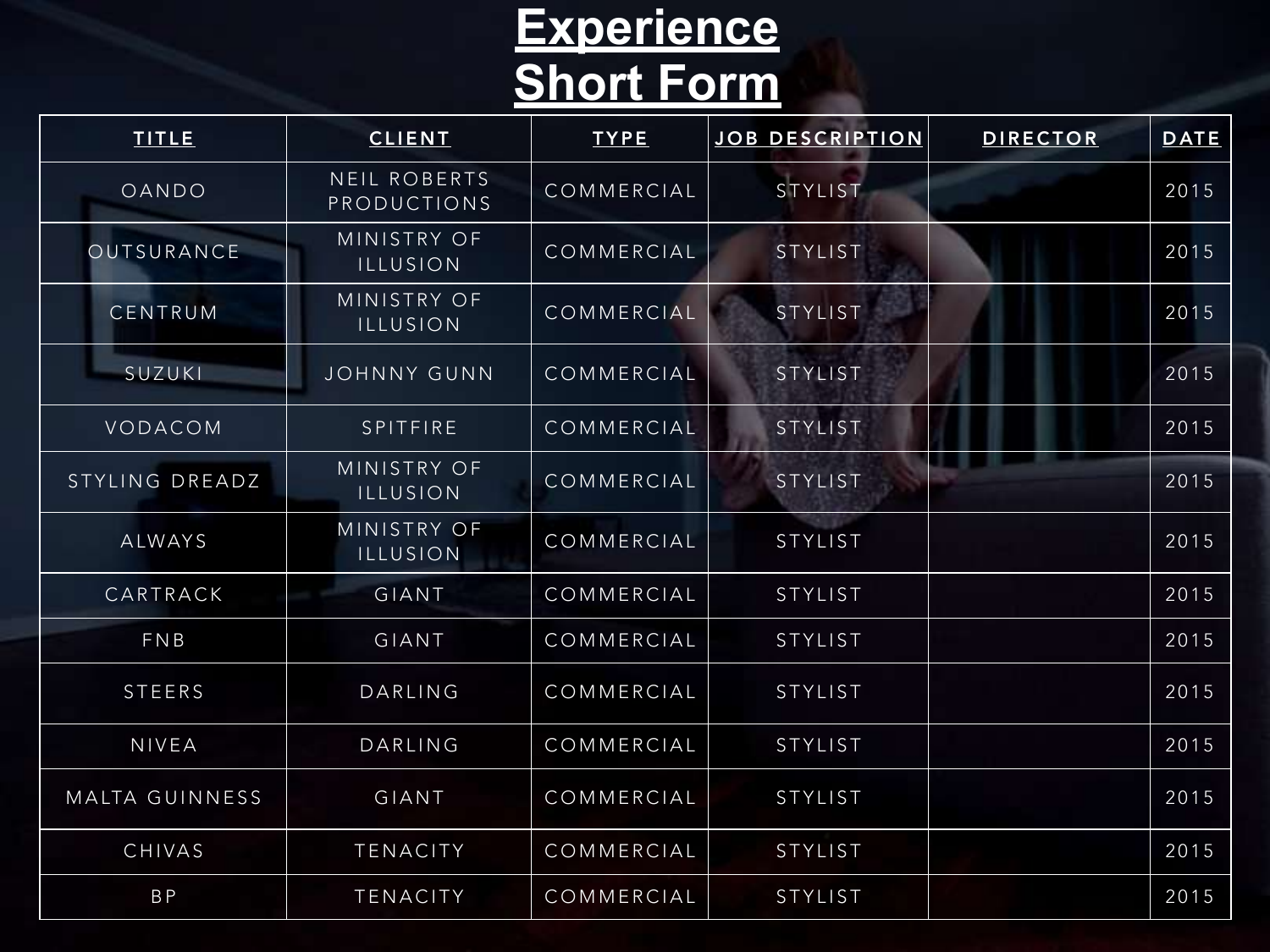| <b>TITLE</b>   | <b>CLIENT</b>               | <b>TYPE</b> | JOB DESCRIPTION | <b>DIRECTOR</b> | <b>DATE</b> |
|----------------|-----------------------------|-------------|-----------------|-----------------|-------------|
| OANDO          | NEIL ROBERTS<br>PRODUCTIONS | COMMERCIAL  | STYLIST         |                 | 2015        |
| OUTSURANCE     | MINISTRY OF<br>ILLUSION     | COMMERCIAL  | STYLIST         |                 | 2015        |
| CENTRUM        | MINISTRY OF<br>ILLUSION     | COMMERCIAL  | STYLIST         |                 | 2015        |
| SUZUKI         | JOHNNY GUNN                 | COMMERCIAL  | STYLIST         |                 | 2015        |
| VODACOM        | SPITFIRE                    | COMMERCIAL  | STYLIST         |                 | 2015        |
| STYLING DREADZ | MINISTRY OF<br>ILLUSION     | COMMERCIAL  | <b>STYLIST</b>  |                 | 2015        |
| <b>ALWAYS</b>  | MINISTRY OF<br>ILLUSION     | COMMERCIAL  | <b>STYLIST</b>  |                 | 2015        |
| CARTRACK       | GIANT                       | COMMERCIAL  | <b>STYLIST</b>  |                 | 2015        |
| FNB            | GIANT                       | COMMERCIAL  | STYLIST         |                 | 2015        |
| <b>STEERS</b>  | DARLING                     | COMMERCIAL  | STYLIST         |                 | 2015        |
| NIVEA          | DARLING                     | COMMERCIAL  | STYLIST         |                 | 2015        |
| MALTA GUINNESS | GIANT                       | COMMERCIAL  | STYLIST         |                 | 2015        |
| CHIVAS         | <b>TENACITY</b>             | COMMERCIAL  | STYLIST         |                 | 2015        |
| <b>BP</b>      | <b>TENACITY</b>             | COMMERCIAL  | STYLIST         |                 | 2015        |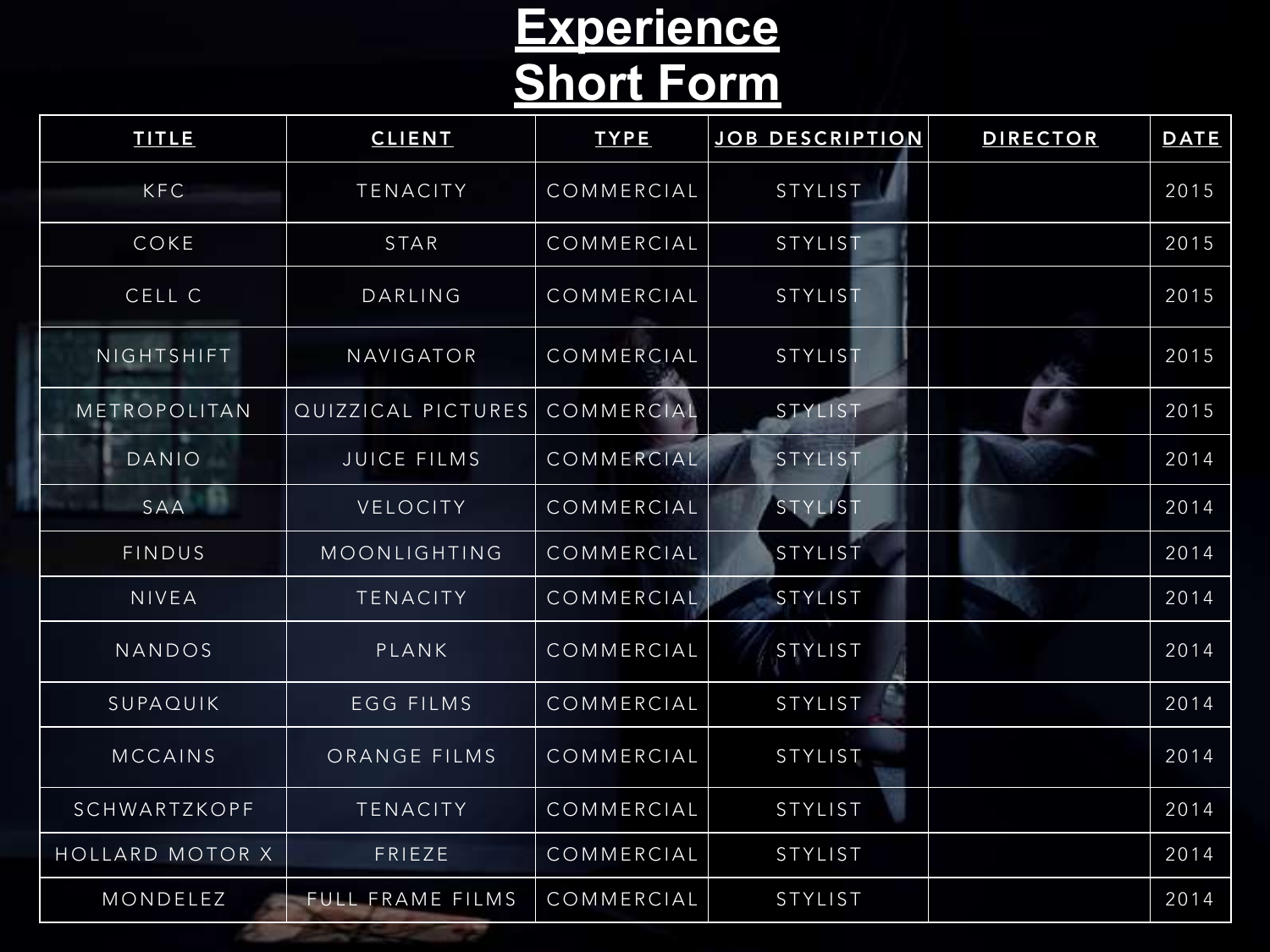| <u>TITLE</u>    | <b>CLIENT</b>      | <b>TYPE</b> | JOB DESCRIPTION | <b>DIRECTOR</b> | <b>DATE</b> |
|-----------------|--------------------|-------------|-----------------|-----------------|-------------|
| KFC             | TENACITY           | COMMERCIAL  | STYLIST         |                 | 2015        |
| <b>COKE</b>     | STAR               | COMMERCIAL  | <b>STYLIST</b>  |                 | 2015        |
| CELL C          | DARLING            | COMMERCIAL  | <b>STYLIST</b>  |                 | 2015        |
| NIGHTSHIFT      | NAVIGATOR          | COMMERCIAL  | <b>STYLIST</b>  |                 | 2015        |
| METROPOLITAN    | QUIZZICAL PICTURES | COMMERCIAL  | STYLIST         |                 | 2015        |
| <b>DANIO</b>    | <b>JUICE FILMS</b> | COMMERCIAL  | <b>STYLIST</b>  |                 | 2014        |
| SAA             | VELOCITY           | COMMERCIAL  | STYLIST         |                 | 2014        |
| <b>FINDUS</b>   | MOONLIGHTING       | COMMERCIAL  | STYLIST         |                 | 2014        |
| <b>NIVEA</b>    | <b>TENACITY</b>    | COMMERCIAL  | STYLIST         |                 | 2014        |
| NANDOS          | <b>PLANK</b>       | COMMERCIAL  | <b>STYLIST</b>  |                 | 2014        |
| SUPAQUIK        | EGG FILMS          | COMMERCIAL  | <b>STYLIST</b>  |                 | 2014        |
| <b>MCCAINS</b>  | ORANGE FILMS       | COMMERCIAL  | STYLIST         |                 | 2014        |
| SCHWARTZKOPF    | <b>TENACITY</b>    | COMMERCIAL  | STYLIST         |                 | 2014        |
| HOLLARD MOTOR X | FRIEZE             | COMMERCIAL  | STYLIST         |                 | 2014        |
| MONDELEZ        | FULL FRAME FILMS   | COMMERCIAL  | STYLIST         |                 | 2014        |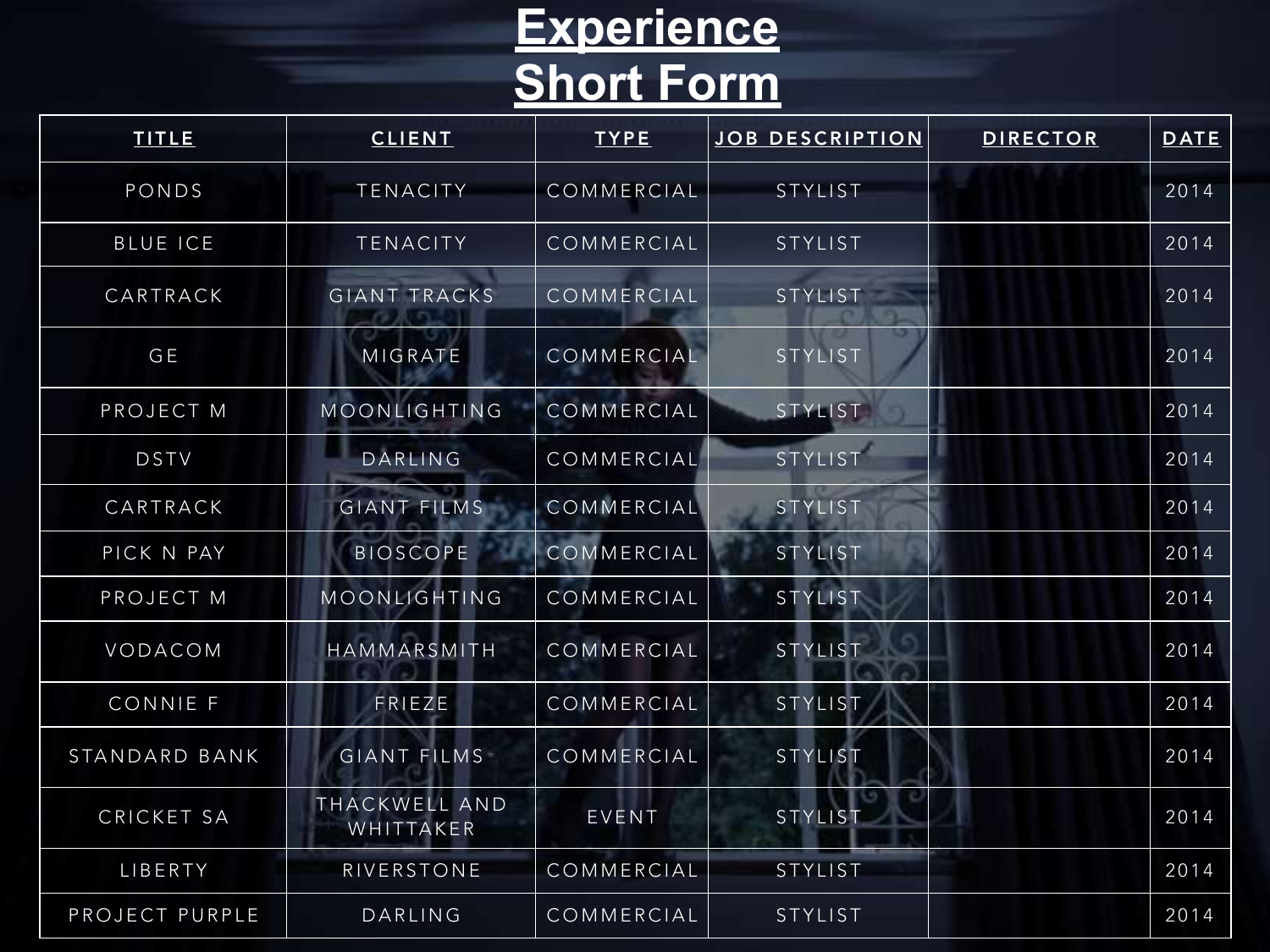| <b>TITLE</b>   | <b>CLIENT</b>              | <b>TYPE</b>  | JOB DESCRIPTION | <b>DIRECTOR</b> | <b>DATE</b> |
|----------------|----------------------------|--------------|-----------------|-----------------|-------------|
| PONDS          | <b>TENACITY</b>            | COMMERCIAL   | <b>STYLIST</b>  |                 | 2014        |
| BLUE ICE       | <b>TENACITY</b>            | COMMERCIAL   | <b>STYLIST</b>  |                 | 2014        |
| CARTRACK       | GIANT TRACKS               | COMMERCIAL   | STYLIST         |                 | 2014        |
| <b>GE</b>      | MIGRATE                    | COMMERCIAL   | STYLIST         |                 | 2014        |
| PROJECT M      | MOONLIGHTING               | COMMERCIAL   | STYLIST         |                 | 2014        |
| <b>DSTV</b>    | DARLING                    | COMMERCIAL   | STYLIST         |                 | 2014        |
| CARTRACK       | GIANT FILMS                | COMMERCIAL   | STYLIST         |                 | 2014        |
| PICK N PAY     | <b>BIOSCOPE</b>            | COMMERCIAL   | STYLIST         |                 | 2014        |
| PROJECT M      | MOONLIGHTING               | COMMERCIAL   | STYLIST         |                 | 2014        |
| VODACOM        | <b>HAMMARSMITH</b>         | COMMERCIAL   | <b>STYLIST</b>  |                 | 2014        |
| CONNIE F       | <b>FRIEZE</b>              | COMMERCIAL   | STYLIST         |                 | 2014        |
| STANDARD BANK  | GIANT FILMS                | COMMERCIAL   | <b>STYLIST</b>  |                 | 2014        |
| CRICKET SA     | THACKWELL AND<br>WHITTAKER | <b>EVENT</b> | <b>STYLIST</b>  |                 | 2014        |
| LIBERTY        | RIVERSTONE                 | COMMERCIAL   | STYLIST         |                 | 2014        |
| PROJECT PURPLE | DARLING                    | COMMERCIAL   | <b>STYLIST</b>  |                 | 2014        |